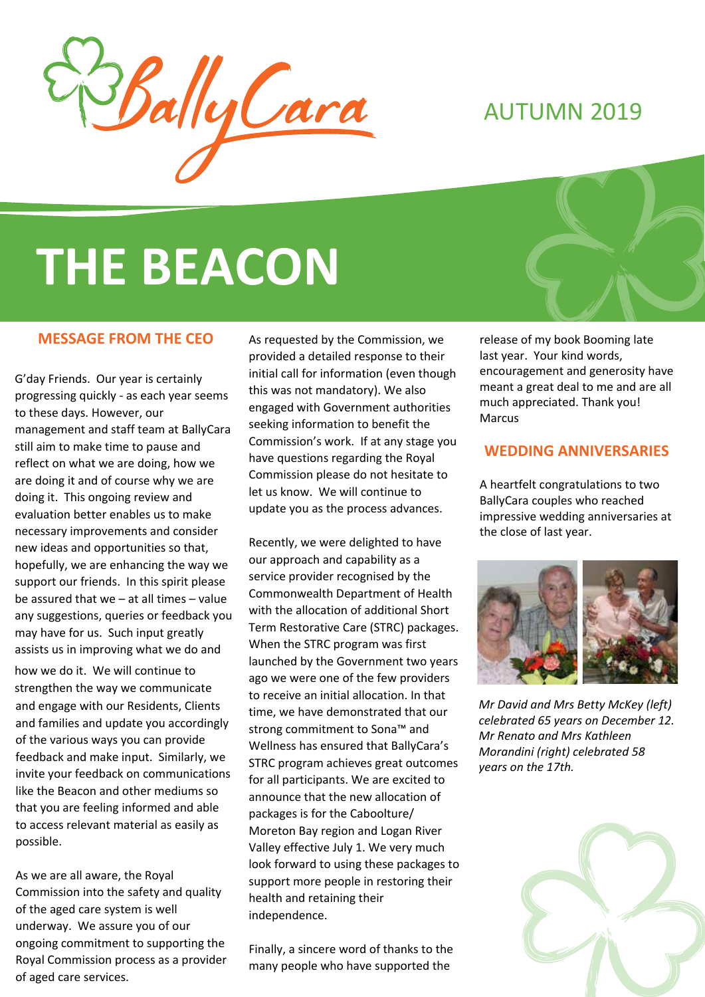

# AUTUMN 2019

# **THE BEACON**

#### **MESSAGE FROM THE CEO**

G'day Friends. Our year is certainly progressing quickly - as each year seems to these days. However, our management and staff team at BallyCara still aim to make time to pause and reflect on what we are doing, how we are doing it and of course why we are doing it. This ongoing review and evaluation better enables us to make necessary improvements and consider new ideas and opportunities so that, hopefully, we are enhancing the way we support our friends. In this spirit please be assured that we – at all times – value any suggestions, queries or feedback you may have for us. Such input greatly assists us in improving what we do and how we do it. We will continue to strengthen the way we communicate and engage with our Residents, Clients and families and update you accordingly of the various ways you can provide feedback and make input. Similarly, we invite your feedback on communications like the Beacon and other mediums so that you are feeling informed and able to access relevant material as easily as possible.

As we are all aware, the Royal Commission into the safety and quality of the aged care system is well underway. We assure you of our ongoing commitment to supporting the Royal Commission process as a provider of aged care services.

As requested by the Commission, we provided a detailed response to their initial call for information (even though this was not mandatory). We also engaged with Government authorities seeking information to benefit the Commission's work. If at any stage you have questions regarding the Royal Commission please do not hesitate to let us know. We will continue to update you as the process advances.

Recently, we were delighted to have our approach and capability as a service provider recognised by the Commonwealth Department of Health with the allocation of additional Short Term Restorative Care (STRC) packages. When the STRC program was first launched by the Government two years ago we were one of the few providers to receive an initial allocation. In that time, we have demonstrated that our strong commitment to Sona™ and Wellness has ensured that BallyCara's STRC program achieves great outcomes for all participants. We are excited to announce that the new allocation of packages is for the Caboolture/ Moreton Bay region and Logan River Valley effective July 1. We very much look forward to using these packages to support more people in restoring their health and retaining their independence.

Finally, a sincere word of thanks to the many people who have supported the

release of my book Booming late last year. Your kind words, encouragement and generosity have meant a great deal to me and are all much appreciated. Thank you! Marcus

#### **WEDDING ANNIVERSARIES**

A heartfelt congratulations to two BallyCara couples who reached impressive wedding anniversaries at the close of last year.



*Mr David and Mrs Betty McKey (left) celebrated 65 years on December 12. Mr Renato and Mrs Kathleen Morandini (right) celebrated 58 years on the 17th.*

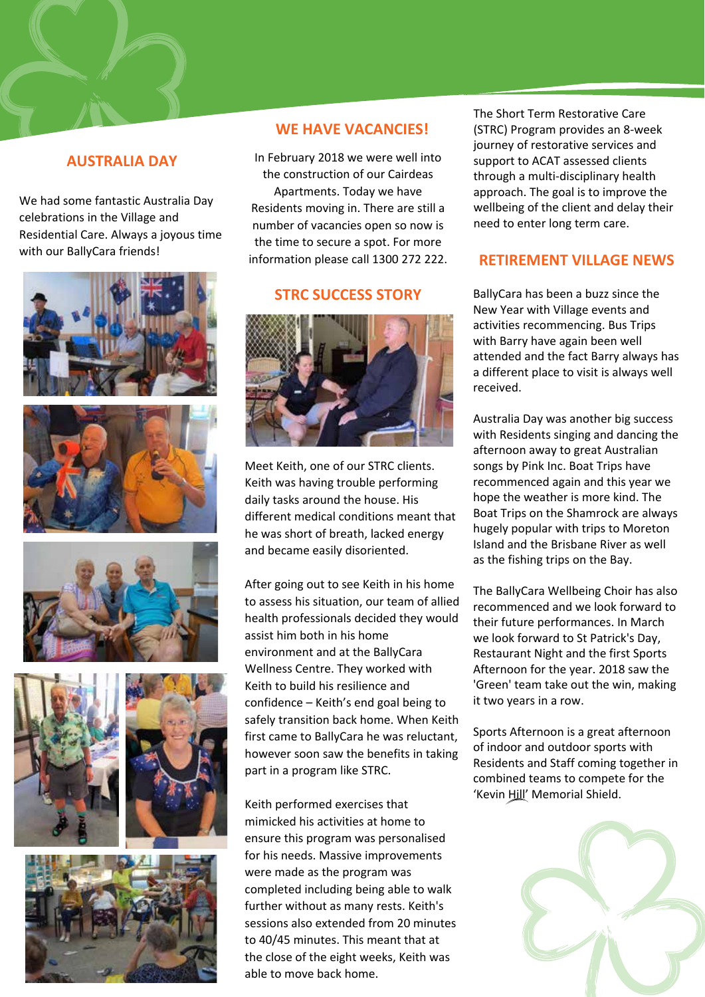# **AUSTRALIA DAY**

We had some fantastic Australia Day celebrations in the Village and Residential Care. Always a joyous time with our BallyCara friends!













### **WE HAVE VACANCIES!**

In February 2018 we were well into the construction of our Cairdeas Apartments. Today we have Residents moving in. There are still a number of vacancies open so now is the time to secure a spot. For more information please call 1300 272 222.

#### **STRC SUCCESS STORY**



Meet Keith, one of our STRC clients. Keith was having trouble performing daily tasks around the house. His different medical conditions meant that he was short of breath, lacked energy and became easily disoriented.

After going out to see Keith in his home to assess his situation, our team of allied health professionals decided they would assist him both in his home environment and at the BallyCara Wellness Centre. They worked with Keith to build his resilience and confidence – Keith's end goal being to safely transition back home. When Keith first came to BallyCara he was reluctant, however soon saw the benefits in taking part in a program like STRC.

Keith performed exercises that mimicked his activities at home to ensure this program was personalised for his needs. Massive improvements were made as the program was completed including being able to walk further without as many rests. Keith's sessions also extended from 20 minutes to 40/45 minutes. This meant that at the close of the eight weeks, Keith was able to move back home.

The Short Term Restorative Care (STRC) Program provides an 8-week journey of restorative services and support to ACAT assessed clients through a multi-disciplinary health approach. The goal is to improve the wellbeing of the client and delay their need to enter long term care.

# **RETIREMENT VILLAGE NEWS**

BallyCara has been a buzz since the New Year with Village events and activities recommencing. Bus Trips with Barry have again been well attended and the fact Barry always has a different place to visit is always well received.

Australia Day was another big success with Residents singing and dancing the afternoon away to great Australian songs by Pink Inc. Boat Trips have recommenced again and this year we hope the weather is more kind. The Boat Trips on the Shamrock are always hugely popular with trips to Moreton Island and the Brisbane River as well as the fishing trips on the Bay.

The BallyCara Wellbeing Choir has also recommenced and we look forward to their future performances. In March we look forward to St Patrick's Day, Restaurant Night and the first Sports Afternoon for the year. 2018 saw the 'Green' team take out the win, making it two years in a row.

Sports Afternoon is a great afternoon of indoor and outdoor sports with Residents and Staff coming together in combined teams to compete for the 'Kevin Hill' Memorial Shield.

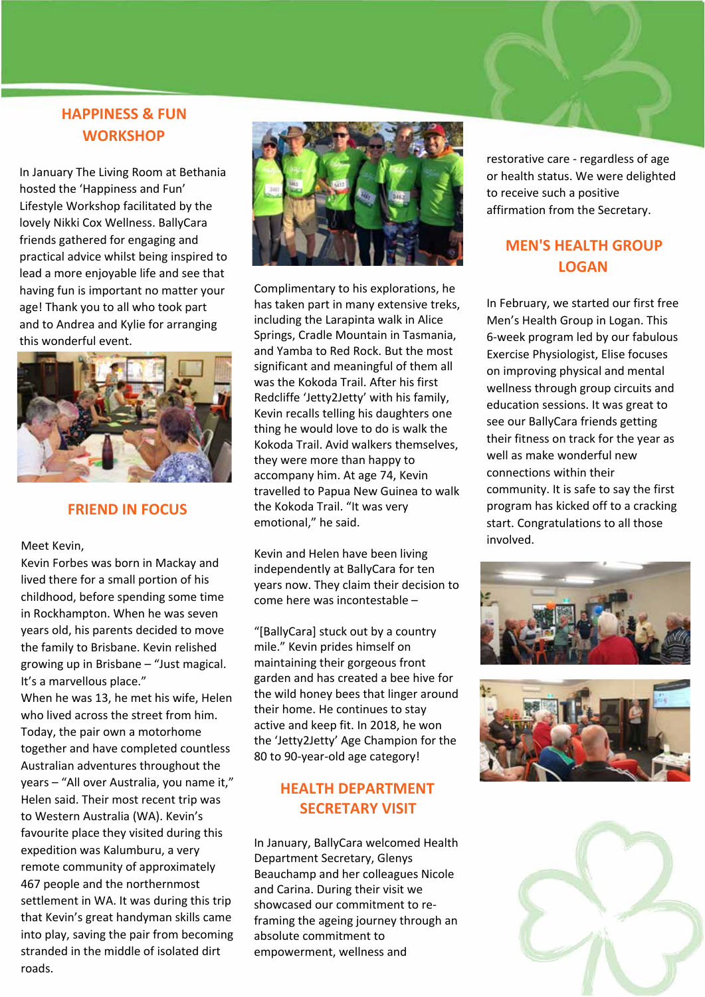# **HAPPINESS & FUN WORKSHOP**

In January The Living Room at Bethania hosted the 'Happiness and Fun' Lifestyle Workshop facilitated by the lovely Nikki Cox Wellness. BallyCara friends gathered for engaging and practical advice whilst being inspired to lead a more enjoyable life and see that having fun is important no matter your age! Thank you to all who took part and to Andrea and Kylie for arranging this wonderful event.



#### **FRIEND IN FOCUS**

Meet Kevin,

Kevin Forbes was born in Mackay and lived there for a small portion of his childhood, before spending some time in Rockhampton. When he was seven years old, his parents decided to move the family to Brisbane. Kevin relished growing up in Brisbane – "Just magical. It's a marvellous place."

When he was 13, he met his wife, Helen who lived across the street from him. Today, the pair own a motorhome together and have completed countless Australian adventures throughout the years – "All over Australia, you name it," Helen said. Their most recent trip was to Western Australia (WA). Kevin's favourite place they visited during this expedition was Kalumburu, a very remote community of approximately 467 people and the northernmost settlement in WA. It was during this trip that Kevin's great handyman skills came into play, saving the pair from becoming stranded in the middle of isolated dirt roads.



Complimentary to his explorations, he has taken part in many extensive treks, including the Larapinta walk in Alice Springs, Cradle Mountain in Tasmania, and Yamba to Red Rock. But the most significant and meaningful of them all was the Kokoda Trail. After his first Redcliffe 'Jetty2Jetty' with his family, Kevin recalls telling his daughters one thing he would love to do is walk the Kokoda Trail. Avid walkers themselves, they were more than happy to accompany him. At age 74, Kevin travelled to Papua New Guinea to walk the Kokoda Trail. "It was very emotional," he said.

Kevin and Helen have been living independently at BallyCara for ten years now. They claim their decision to come here was incontestable –

"[BallyCara] stuck out by a country mile." Kevin prides himself on maintaining their gorgeous front garden and has created a bee hive for the wild honey bees that linger around their home. He continues to stay active and keep fit. In 2018, he won the 'Jetty2Jetty' Age Champion for the 80 to 90-year-old age category!

# **HEALTH DEPARTMENT SECRETARY VISIT**

In January, BallyCara welcomed Health Department Secretary, Glenys Beauchamp and her colleagues Nicole and Carina. During their visit we showcased our commitment to reframing the ageing journey through an absolute commitment to empowerment, wellness and

restorative care - regardless of age or health status. We were delighted to receive such a positive affirmation from the Secretary.

# **MEN'S HEALTH GROUP LOGAN**

In February, we started our first free Men's Health Group in Logan. This 6-week program led by our fabulous Exercise Physiologist, Elise focuses on improving physical and mental wellness through group circuits and education sessions. It was great to see our BallyCara friends getting their fitness on track for the year as well as make wonderful new connections within their community. It is safe to say the first program has kicked off to a cracking start. Congratulations to all those involved.





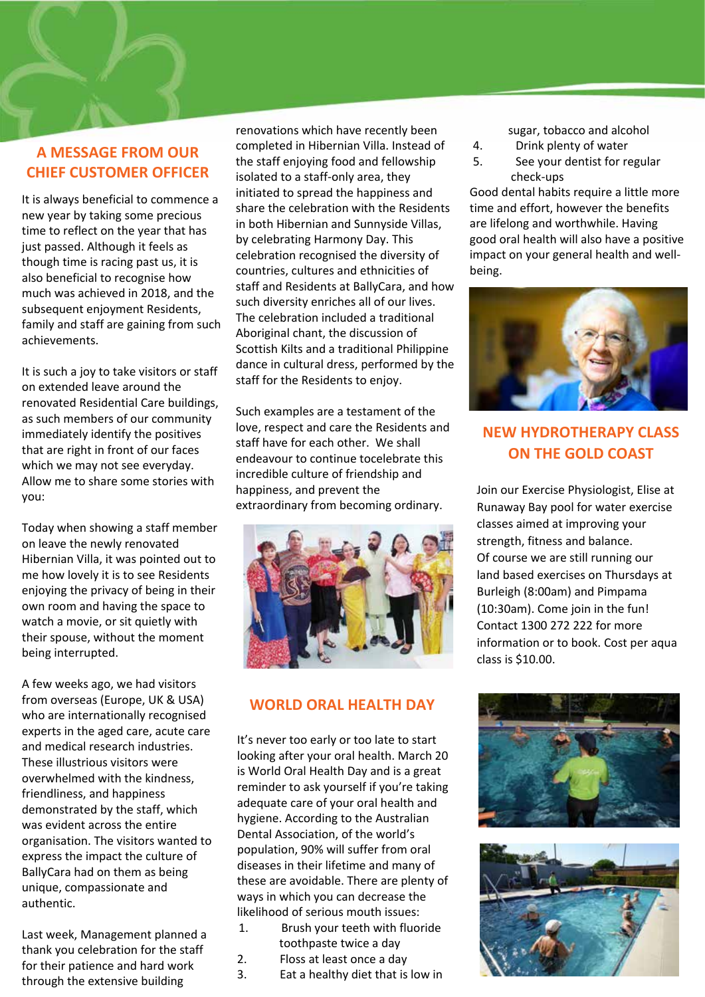# **A MESSAGE FROM OUR CHIEF CUSTOMER OFFICER**

It is always beneficial to commence a new year by taking some precious time to reflect on the year that has just passed. Although it feels as though time is racing past us, it is also beneficial to recognise how much was achieved in 2018, and the subsequent enjoyment Residents, family and staff are gaining from such achievements.

It is such a joy to take visitors or staff on extended leave around the renovated Residential Care buildings, as such members of our community immediately identify the positives that are right in front of our faces which we may not see everyday. Allow me to share some stories with you:

Today when showing a staff member on leave the newly renovated Hibernian Villa, it was pointed out to me how lovely it is to see Residents enjoying the privacy of being in their own room and having the space to watch a movie, or sit quietly with their spouse, without the moment being interrupted.

A few weeks ago, we had visitors from overseas (Europe, UK & USA) who are internationally recognised experts in the aged care, acute care and medical research industries. These illustrious visitors were overwhelmed with the kindness, friendliness, and happiness demonstrated by the staff, which was evident across the entire organisation. The visitors wanted to express the impact the culture of BallyCara had on them as being unique, compassionate and authentic.

Last week, Management planned a thank you celebration for the staff for their patience and hard work through the extensive building

renovations which have recently been completed in Hibernian Villa. Instead of the staff enjoying food and fellowship isolated to a staff-only area, they initiated to spread the happiness and share the celebration with the Residents in both Hibernian and Sunnyside Villas, by celebrating Harmony Day. This celebration recognised the diversity of countries, cultures and ethnicities of staff and Residents at BallyCara, and how such diversity enriches all of our lives. The celebration included a traditional Aboriginal chant, the discussion of Scottish Kilts and a traditional Philippine dance in cultural dress, performed by the staff for the Residents to enjoy.

Such examples are a testament of the love, respect and care the Residents and staff have for each other. We shall endeavour to continue tocelebrate this incredible culture of friendship and happiness, and prevent the extraordinary from becoming ordinary.



#### **WORLD ORAL HEALTH DAY**

It's never too early or too late to start looking after your oral health. March 20 is World Oral Health Day and is a great reminder to ask yourself if you're taking adequate care of your oral health and hygiene. According to the Australian Dental Association, of the world's population, 90% will suffer from oral diseases in their lifetime and many of these are avoidable. There are plenty of ways in which you can decrease the likelihood of serious mouth issues:

- 1. Brush your teeth with fluoride toothpaste twice a day
- 2. Floss at least once a day
- 3. Eat a healthy diet that is low in

sugar, tobacco and alcohol

- 4. Drink plenty of water
- 5. See your dentist for regular check-ups

Good dental habits require a little more time and effort, however the benefits are lifelong and worthwhile. Having good oral health will also have a positive impact on your general health and wellbeing.



# **NEW HYDROTHERAPY CLASS ON THE GOLD COAST**

Join our Exercise Physiologist, Elise at Runaway Bay pool for water exercise classes aimed at improving your strength, fitness and balance. Of course we are still running our land based exercises on Thursdays at Burleigh (8:00am) and Pimpama (10:30am). Come join in the fun! Contact 1300 272 222 for more information or to book. Cost per aqua class is \$10.00.



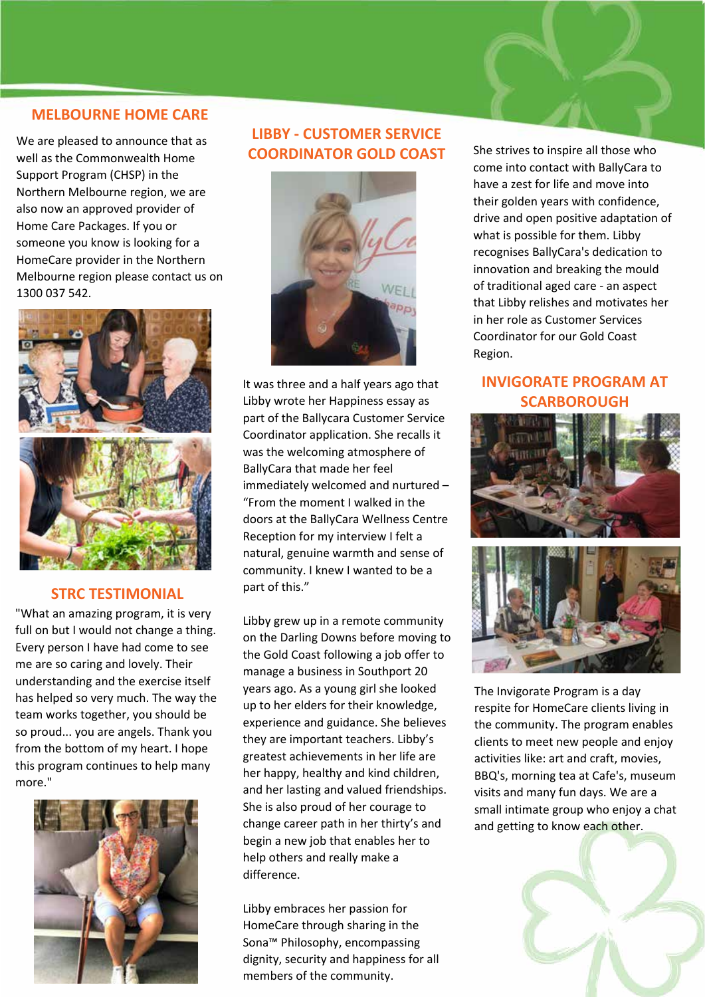#### **MELBOURNE HOME CARE**

We are pleased to announce that as well as the Commonwealth Home Support Program (CHSP) in the Northern Melbourne region, we are also now an approved provider of Home Care Packages. If you or someone you know is looking for a HomeCare provider in the Northern Melbourne region please contact us on 1300 037 542.



#### **STRC TESTIMONIAL**

"What an amazing program, it is very full on but I would not change a thing. Every person I have had come to see me are so caring and lovely. Their understanding and the exercise itself has helped so very much. The way the team works together, you should be so proud... you are angels. Thank you from the bottom of my heart. I hope this program continues to help many more."



# **LIBBY - CUSTOMER SERVICE COORDINATOR GOLD COAST**



It was three and a half years ago that Libby wrote her Happiness essay as part of the Ballycara Customer Service Coordinator application. She recalls it was the welcoming atmosphere of BallyCara that made her feel immediately welcomed and nurtured – "From the moment I walked in the doors at the BallyCara Wellness Centre Reception for my interview I felt a natural, genuine warmth and sense of community. I knew I wanted to be a part of this."

Libby grew up in a remote community on the Darling Downs before moving to the Gold Coast following a job offer to manage a business in Southport 20 years ago. As a young girl she looked up to her elders for their knowledge, experience and guidance. She believes they are important teachers. Libby's greatest achievements in her life are her happy, healthy and kind children, and her lasting and valued friendships. She is also proud of her courage to change career path in her thirty's and begin a new job that enables her to help others and really make a difference.

Libby embraces her passion for HomeCare through sharing in the Sona™ Philosophy, encompassing dignity, security and happiness for all members of the community.

She strives to inspire all those who come into contact with BallyCara to have a zest for life and move into their golden years with confidence, drive and open positive adaptation of what is possible for them. Libby recognises BallyCara's dedication to innovation and breaking the mould of traditional aged care - an aspect that Libby relishes and motivates her in her role as Customer Services Coordinator for our Gold Coast Region.

# **INVIGORATE PROGRAM AT SCARBOROUGH**



The Invigorate Program is a day respite for HomeCare clients living in the community. The program enables clients to meet new people and enjoy activities like: art and craft, movies, BBQ's, morning tea at Cafe's, museum visits and many fun days. We are a small intimate group who enjoy a chat and getting to know each other.

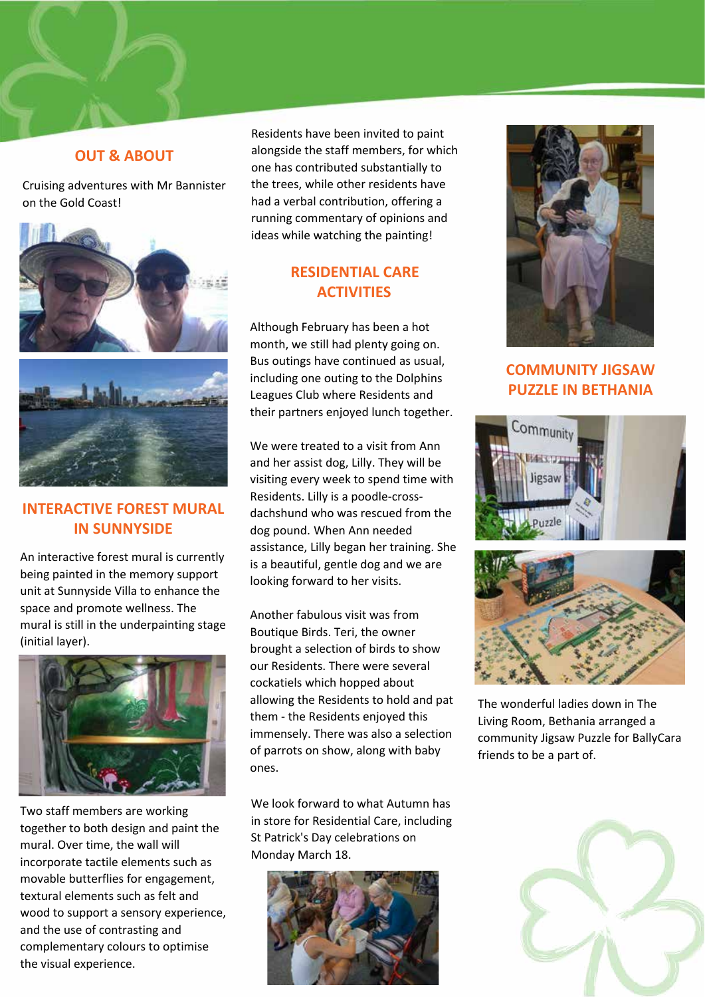### **OUT & ABOUT**

Cruising adventures with Mr Bannister on the Gold Coast!



# **INTERACTIVE FOREST MURAL IN SUNNYSIDE**

An interactive forest mural is currently being painted in the memory support unit at Sunnyside Villa to enhance the space and promote wellness. The mural is still in the underpainting stage (initial layer).



Two staff members are working together to both design and paint the mural. Over time, the wall will incorporate tactile elements such as movable butterflies for engagement, textural elements such as felt and wood to support a sensory experience, and the use of contrasting and complementary colours to optimise the visual experience.

Residents have been invited to paint alongside the staff members, for which one has contributed substantially to the trees, while other residents have had a verbal contribution, offering a running commentary of opinions and ideas while watching the painting!

# **RESIDENTIAL CARE ACTIVITIES**

Although February has been a hot month, we still had plenty going on. Bus outings have continued as usual, including one outing to the Dolphins Leagues Club where Residents and their partners enjoyed lunch together.

We were treated to a visit from Ann and her assist dog, Lilly. They will be visiting every week to spend time with Residents. Lilly is a poodle-crossdachshund who was rescued from the dog pound. When Ann needed assistance, Lilly began her training. She is a beautiful, gentle dog and we are looking forward to her visits.

Another fabulous visit was from Boutique Birds. Teri, the owner brought a selection of birds to show our Residents. There were several cockatiels which hopped about allowing the Residents to hold and pat them - the Residents enjoyed this immensely. There was also a selection of parrots on show, along with baby ones.

We look forward to what Autumn has in store for Residential Care, including St Patrick's Day celebrations on Monday March 18.





# **COMMUNITY JIGSAW PUZZLE IN BETHANIA**





The wonderful ladies down in The Living Room, Bethania arranged a community Jigsaw Puzzle for BallyCara friends to be a part of.

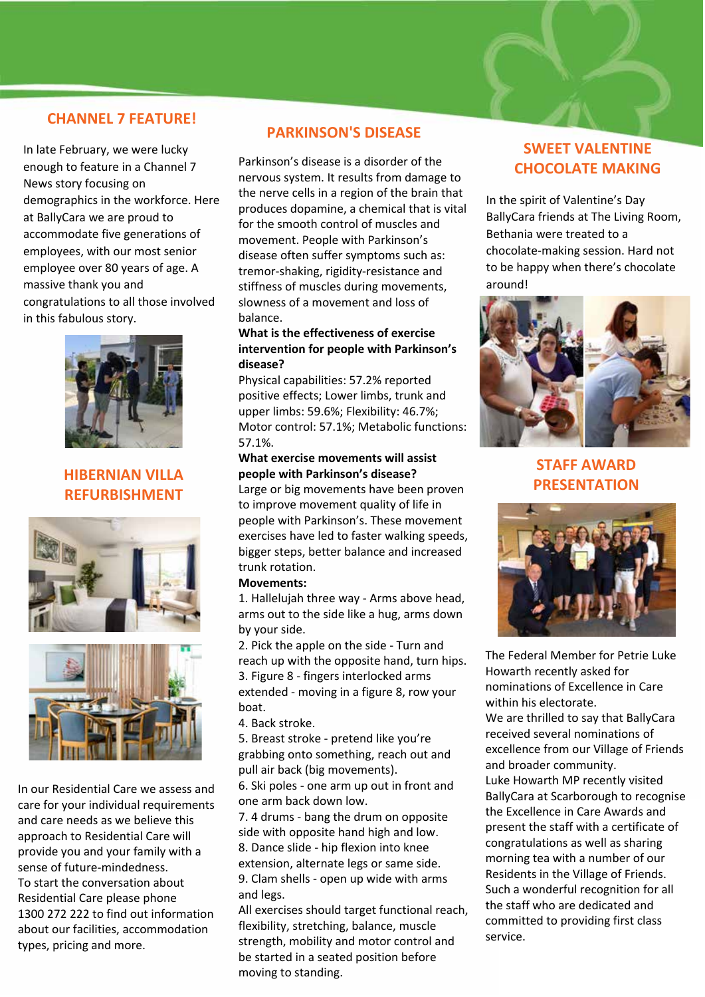#### **CHANNEL 7 FEATURE!**

In late February, we were lucky enough to feature in a Channel 7 News story focusing on demographics in the workforce. Here at BallyCara we are proud to accommodate five generations of employees, with our most senior employee over 80 years of age. A massive thank you and congratulations to all those involved in this fabulous story.



## **HIBERNIAN VILLA REFURBISHMENT**





In our Residential Care we assess and care for your individual requirements and care needs as we believe this approach to Residential Care will provide you and your family with a sense of future-mindedness. To start the conversation about Residential Care please phone 1300 272 222 to find out information about our facilities, accommodation types, pricing and more.

#### **PARKINSON'S DISEASE**

Parkinson's disease is a disorder of the nervous system. It results from damage to the nerve cells in a region of the brain that produces dopamine, a chemical that is vital for the smooth control of muscles and movement. People with Parkinson's disease often suffer symptoms such as: tremor-shaking, rigidity-resistance and stiffness of muscles during movements, slowness of a movement and loss of balance.

#### **What is the effectiveness of exercise intervention for people with Parkinson's disease?**

Physical capabilities: 57.2% reported positive effects; Lower limbs, trunk and upper limbs: 59.6%; Flexibility: 46.7%; Motor control: 57.1%; Metabolic functions: 57.1%.

#### **What exercise movements will assist people with Parkinson's disease?**

Large or big movements have been proven to improve movement quality of life in people with Parkinson's. These movement exercises have led to faster walking speeds, bigger steps, better balance and increased trunk rotation.

#### **Movements:**

1. Hallelujah three way - Arms above head, arms out to the side like a hug, arms down by your side.

2. Pick the apple on the side - Turn and reach up with the opposite hand, turn hips. 3. Figure 8 - fingers interlocked arms extended - moving in a figure 8, row your boat.

4. Back stroke.

5. Breast stroke - pretend like you're grabbing onto something, reach out and pull air back (big movements).

6. Ski poles - one arm up out in front and one arm back down low.

7. 4 drums - bang the drum on opposite side with opposite hand high and low. 8. Dance slide - hip flexion into knee extension, alternate legs or same side. 9. Clam shells - open up wide with arms and legs.

All exercises should target functional reach, flexibility, stretching, balance, muscle strength, mobility and motor control and be started in a seated position before moving to standing.

# **SWEET VALENTINE CHOCOLATE MAKING**

In the spirit of Valentine's Day BallyCara friends at The Living Room, Bethania were treated to a chocolate-making session. Hard not to be happy when there's chocolate around!



**STAFF AWARD PRESENTATION**



The Federal Member for Petrie Luke Howarth recently asked for nominations of Excellence in Care within his electorate. We are thrilled to say that BallyCara received several nominations of excellence from our Village of Friends and broader community. Luke Howarth MP recently visited BallyCara at Scarborough to recognise the Excellence in Care Awards and present the staff with a certificate of congratulations as well as sharing morning tea with a number of our Residents in the Village of Friends. Such a wonderful recognition for all the staff who are dedicated and committed to providing first class service.